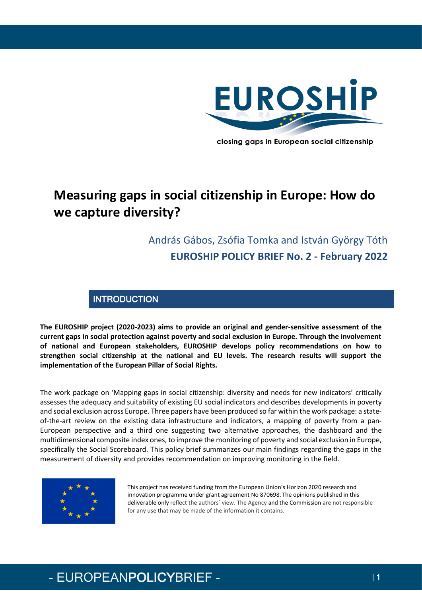

closing gaps in European social citizenship

# **Measuring gaps in social citizenship in Europe: How do we capture diversity?**

## András Gábos, Zsófia Tomka and István György Tóth **EUROSHIP POLICY BRIEF No. 2 - February 2022**

### **INTRODUCTION**

**The EUROSHIP project (2020-2023) aims to provide an original and gender-sensitive assessment of the current gaps in social protection against poverty and social exclusion in Europe. Through the involvement of national and European stakeholders, EUROSHIP develops policy recommendations on how to strengthen social citizenship at the national and EU levels. The research results will support the implementation of the European Pillar of Social Rights.**

The work package on 'Mapping gaps in social citizenship: diversity and needs for new indicators' critically assesses the adequacy and suitability of existing EU social indicators and describes developments in poverty and social exclusion across Europe. Three papers have been produced so far within the work package: a stateof-the-art review on the existing data infrastructure and indicators, a mapping of poverty from a pan-European perspective and a third one suggesting two alternative approaches, the dashboard and the multidimensional composite index ones, to improve the monitoring of poverty and social exclusion in Europe, specifically the Social Scoreboard. This policy brief summarizes our main findings regarding the gaps in the measurement of diversity and provides recommendation on improving monitoring in the field.



This project has received funding from the European Union's Horizon 2020 research and innovation programme under grant agreement No 870698. The opinions published in this deliverable only reflect the authors` view. The Agency and the Commission are not responsible for any use that may be made of the information it contains.

# - EUROPEANPOLICYBRIEF - | 1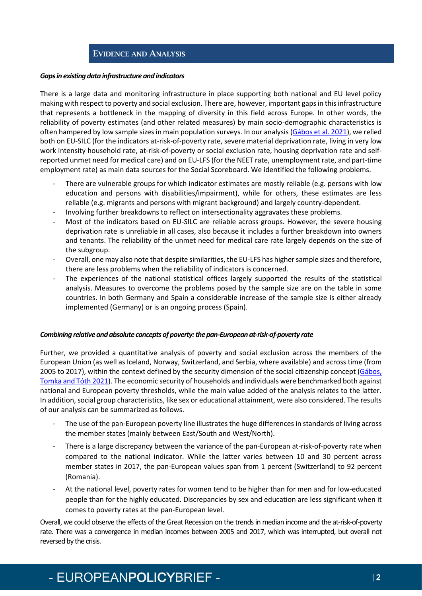### EVIDENCE AND ANALYSIS

#### *Gaps in existing data infrastructure and indicators*

There is a large data and monitoring infrastructure in place supporting both national and EU level policy making with respect to poverty and social exclusion. There are, however, important gaps in this infrastructure that represents a bottleneck in the mapping of diversity in this field across Europe. In other words, the reliability of poverty estimates (and other related measures) by main socio-demographic characteristics is often hampered by low sample sizes in main population surveys. In our analysis [\(Gábos et al. 2021\)](https://euroship-research.eu/wp-content/uploads/2021/06/EUROSHIP-Working-Paper-No-1-final.pdf), we relied both on EU-SILC (for the indicators at-risk-of-poverty rate, severe material deprivation rate, living in very low work intensity household rate, at-risk-of-poverty or social exclusion rate, housing deprivation rate and selfreported unmet need for medical care) and on EU-LFS (for the NEET rate, unemployment rate, and part-time employment rate) as main data sources for the Social Scoreboard. We identified the following problems.

- There are vulnerable groups for which indicator estimates are mostly reliable (e.g. persons with low education and persons with disabilities/impairment), while for others, these estimates are less reliable (e.g. migrants and persons with migrant background) and largely country-dependent.
- Involving further breakdowns to reflect on intersectionality aggravates these problems.
- Most of the indicators based on EU-SILC are reliable across groups. However, the severe housing deprivation rate is unreliable in all cases, also because it includes a further breakdown into owners and tenants. The reliability of the unmet need for medical care rate largely depends on the size of the subgroup.
- Overall, one may also note that despite similarities, the EU-LFS has higher sample sizes and therefore, there are less problems when the reliability of indicators is concerned.
- The experiences of the national statistical offices largely supported the results of the statistical analysis. Measures to overcome the problems posed by the sample size are on the table in some countries. In both Germany and Spain a considerable increase of the sample size is either already implemented (Germany) or is an ongoing process (Spain).

#### *Combining relative and absolute concepts of poverty: the pan-European at-risk-of-poverty rate*

Further, we provided a quantitative analysis of poverty and social exclusion across the members of the European Union (as well as Iceland, Norway, Switzerland, and Serbia, where available) and across time (from 2005 to 2017), within the context defined by the security dimension of the social citizenship concept [\(Gábos,](https://euroship-research.eu/wp-content/uploads/2021/07/EUROSHIP-Working-Paper-2.pdf)  [Tomka and Tóth 2021\)](https://euroship-research.eu/wp-content/uploads/2021/07/EUROSHIP-Working-Paper-2.pdf). The economic security of households and individuals were benchmarked both against national and European poverty thresholds, while the main value added of the analysis relates to the latter. In addition, social group characteristics, like sex or educational attainment, were also considered. The results of our analysis can be summarized as follows.

- The use of the pan-European poverty line illustrates the huge differences in standards of living across the member states (mainly between East/South and West/North).
- There is a large discrepancy between the variance of the pan-European at-risk-of-poverty rate when compared to the national indicator. While the latter varies between 10 and 30 percent across member states in 2017, the pan-European values span from 1 percent (Switzerland) to 92 percent (Romania).
- At the national level, poverty rates for women tend to be higher than for men and for low-educated people than for the highly educated. Discrepancies by sex and education are less significant when it comes to poverty rates at the pan-European level.

Overall, we could observe the effects of the Great Recession on the trends in median income and the at-risk-of-poverty rate. There was a convergence in median incomes between 2005 and 2017, which was interrupted, but overall not reversed by the crisis.

# - EUROPEANPOLICYBRIEF -  $\frac{1}{2}$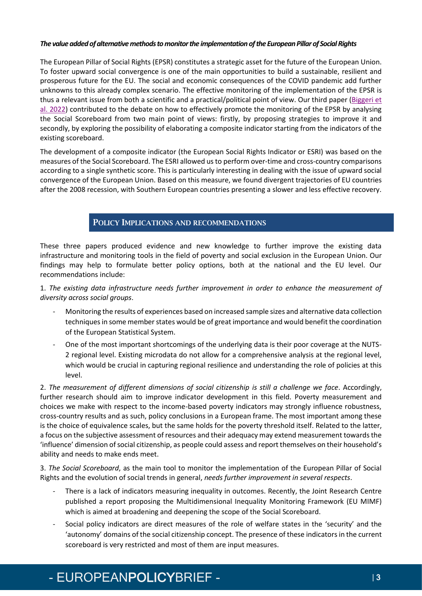#### *The value added of alternative methods to monitor the implementation of the European Pillar of Social Rights*

The European Pillar of Social Rights (EPSR) constitutes a strategic asset for the future of the European Union. To foster upward social convergence is one of the main opportunities to build a sustainable, resilient and prosperous future for the EU. The social and economic consequences of the COVID pandemic add further unknowns to this already complex scenario. The effective monitoring of the implementation of the EPSR is thus a relevant issue from both a scientific and a practical/political point of view. Our third paper (Biggeri et [al. 2022\)](https://euroship-research.eu/wp-content/uploads/2022/02/EUROSHIP-Working-paper-No-13-Alternative-approaches-to-the-study-of-poverty-and-social-exclusion-in-Europe.pdf) contributed to the debate on how to effectively promote the monitoring of the EPSR by analysing the Social Scoreboard from two main point of views: firstly, by proposing strategies to improve it and secondly, by exploring the possibility of elaborating a composite indicator starting from the indicators of the existing scoreboard.

The development of a composite indicator (the European Social Rights Indicator or ESRI) was based on the measures of the Social Scoreboard. The ESRI allowed us to perform over-time and cross-country comparisons according to a single synthetic score. This is particularly interesting in dealing with the issue of upward social convergence of the European Union. Based on this measure, we found divergent trajectories of EU countries after the 2008 recession, with Southern European countries presenting a slower and less effective recovery.

### POLICY IMPLICATIONS AND RECOMMENDATIONS

These three papers produced evidence and new knowledge to further improve the existing data infrastructure and monitoring tools in the field of poverty and social exclusion in the European Union. Our findings may help to formulate better policy options, both at the national and the EU level. Our recommendations include:

1. *The existing data infrastructure needs further improvement in order to enhance the measurement of diversity across social groups*.

- Monitoring the results of experiences based on increased sample sizes and alternative data collection techniques in some member states would be of great importance and would benefit the coordination of the European Statistical System.
- One of the most important shortcomings of the underlying data is their poor coverage at the NUTS-2 regional level. Existing microdata do not allow for a comprehensive analysis at the regional level, which would be crucial in capturing regional resilience and understanding the role of policies at this level.

2. *The measurement of different dimensions of social citizenship is still a challenge we face*. Accordingly, further research should aim to improve indicator development in this field. Poverty measurement and choices we make with respect to the income-based poverty indicators may strongly influence robustness, cross-country results and as such, policy conclusions in a European frame. The most important among these is the choice of equivalence scales, but the same holds for the poverty threshold itself. Related to the latter, a focus on the subjective assessment of resources and their adequacy may extend measurement towards the 'influence' dimension of social citizenship, as people could assess and report themselves on their household's ability and needs to make ends meet.

3. *The Social Scoreboard*, as the main tool to monitor the implementation of the European Pillar of Social Rights and the evolution of social trends in general, *needs further improvement in several respects*.

- There is a lack of indicators measuring inequality in outcomes. Recently, the Joint Research Centre published a report proposing the Multidimensional Inequality Monitoring Framework (EU MIMF) which is aimed at broadening and deepening the scope of the Social Scoreboard.
- Social policy indicators are direct measures of the role of welfare states in the 'security' and the 'autonomy' domains of the social citizenship concept. The presence of these indicators in the current scoreboard is very restricted and most of them are input measures.

# - EUROPEANPOLICYBRIEF -  $|$  3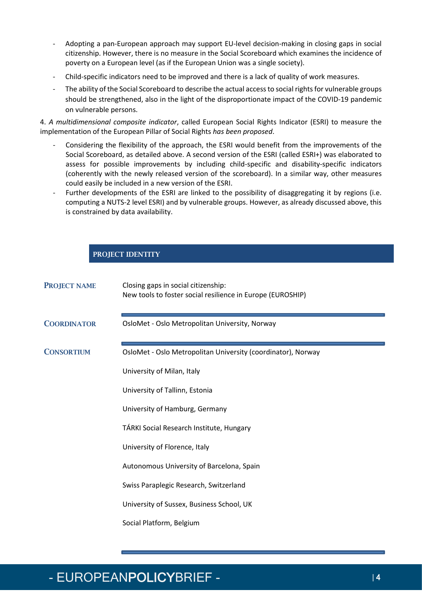- Adopting a pan-European approach may support EU-level decision-making in closing gaps in social citizenship. However, there is no measure in the Social Scoreboard which examines the incidence of poverty on a European level (as if the European Union was a single society).
- Child-specific indicators need to be improved and there is a lack of quality of work measures.
- The ability of the Social Scoreboard to describe the actual access to social rights for vulnerable groups should be strengthened, also in the light of the disproportionate impact of the COVID-19 pandemic on vulnerable persons.

4. *A multidimensional composite indicator*, called European Social Rights Indicator (ESRI) to measure the implementation of the European Pillar of Social Rights *has been proposed*.

- Considering the flexibility of the approach, the ESRI would benefit from the improvements of the Social Scoreboard, as detailed above. A second version of the ESRI (called ESRI+) was elaborated to assess for possible improvements by including child-specific and disability-specific indicators (coherently with the newly released version of the scoreboard). In a similar way, other measures could easily be included in a new version of the ESRI.
- Further developments of the ESRI are linked to the possibility of disaggregating it by regions (i.e. computing a NUTS-2 level ESRI) and by vulnerable groups. However, as already discussed above, this is constrained by data availability.

#### PROJECT IDENTITY

| <b>PROJECT NAME</b> | Closing gaps in social citizenship:<br>New tools to foster social resilience in Europe (EUROSHIP) |
|---------------------|---------------------------------------------------------------------------------------------------|
| <b>COORDINATOR</b>  | OsloMet - Oslo Metropolitan University, Norway                                                    |
| <b>CONSORTIUM</b>   | OsloMet - Oslo Metropolitan University (coordinator), Norway                                      |
|                     | University of Milan, Italy                                                                        |
|                     | University of Tallinn, Estonia                                                                    |
|                     | University of Hamburg, Germany                                                                    |
|                     | TÁRKI Social Research Institute, Hungary                                                          |
|                     | University of Florence, Italy                                                                     |
|                     | Autonomous University of Barcelona, Spain                                                         |
|                     | Swiss Paraplegic Research, Switzerland                                                            |
|                     | University of Sussex, Business School, UK                                                         |
|                     | Social Platform, Belgium                                                                          |

## - EUROPEANPOLICYBRIEF -  $\frac{1}{4}$